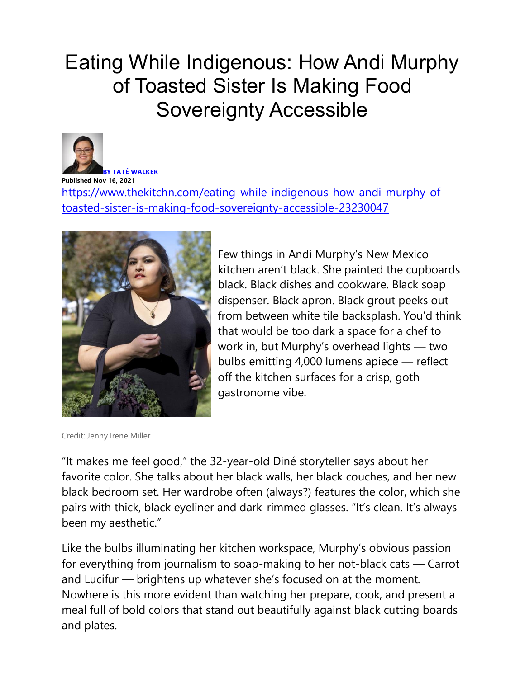## Eating While Indigenous: How Andi Murphy of Toasted Sister Is Making Food Sovereignty Accessible



**BY [TATÉ WALKER](https://www.thekitchn.com/authors/tate-walker) Published Nov 16, 2021** [https://www.thekitchn.com/eating-while-indigenous-how-andi-murphy-of](https://www.thekitchn.com/eating-while-indigenous-how-andi-murphy-of-toasted-sister-is-making-food-sovereignty-accessible-23230047)[toasted-sister-is-making-food-sovereignty-accessible-23230047](https://www.thekitchn.com/eating-while-indigenous-how-andi-murphy-of-toasted-sister-is-making-food-sovereignty-accessible-23230047)



Few things in Andi Murphy's New Mexico kitchen aren't black. She painted the cupboards black. Black dishes and cookware. Black soap dispenser. Black apron. Black grout peeks out from between white tile backsplash. You'd think that would be too dark a space for a chef to work in, but Murphy's overhead lights — two bulbs emitting 4,000 lumens apiece — reflect off the kitchen surfaces for a crisp, goth gastronome vibe.

Credit: Jenny Irene Miller

"It makes me feel good," the 32-year-old Diné storyteller says about her favorite color. She talks about her black walls, her black couches, and her new black bedroom set. Her wardrobe often (always?) features the color, which she pairs with thick, black eyeliner and dark-rimmed glasses. "It's clean. It's always been my aesthetic.["](https://eb2.3lift.com/pass?tl_clickthrough=true&redir=https%3A%2F%2Fservedby.flashtalking.com%2Fclick%2F8%2F179226%3B6426661%3B3858177%3B211%3B0%2F%3Frandom%3D1397162702%26ft_width%3D1920%26ft_height%3D1080%26ft_impID%3D0B1D0736-41B0-4D25-4721-6710838C1043%26ft_custom%3D%26ft_section%3D%26ft_keyword%3D%26ft_partnerimpid%3D%26ft_partnerid%3D%26ft_c1%3D%26ft_c2%3D%26ft_id%3D%26ft_c3%3D%26gdpr%3D!!GDPR!%26gdpr_consent%3D!!GDPR_CONSENT_78!%26gdpr_pd%3DFT_GDPR_PD%26us_privacy%3D!!US_PRIVACY!%26url&pr=9.063&bc=24.601&aid=6688104549273500935280&bmid=7255&biid=7077&sid=121665&tid=12219193&clid=11820915&brid=49872&adid=martinai-15648&crid=26993075&ts=1654059523&bcud=24601&ss=12&cb=76151)

Like the bulbs illuminating her kitchen workspace, Murphy's obvious passion for everything from journalism to soap-making to her not-black cats — Carrot and Lucifur — brightens up whatever she's focused on at the moment*.* Nowhere is this more evident than watching her prepare, cook, and present a meal full of bold colors that stand out beautifully against black cutting boards and plates.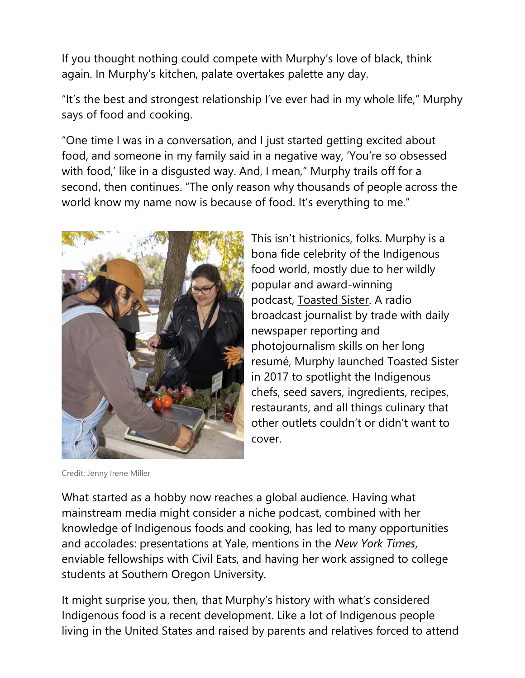If you thought nothing could compete with Murphy's love of black, think again. In Murphy's kitchen, palate overtakes palette any day.

"It's the best and strongest relationship I've ever had in my whole life," Murphy says of food and cooking.

"One time I was in a conversation, and I just started getting excited about food, and someone in my family said in a negative way, 'You're so obsessed with food,' like in a disgusted way. And, I mean," Murphy trails off for a second, then continues. "The only reason why thousands of people across the world know my name now is because of food. It's everything to me.["](https://www.thekitchn.com/eating-while-indigenous-how-andi-murphy-of-toasted-sister-is-making-food-sovereignty-accessible-23230047#pinit)



Credit: Jenny Irene Miller

This isn't histrionics, folks. Murphy is a bona fide celebrity of the Indigenous food world, mostly due to her wildly popular and award-winning podcast, [Toasted Sister.](https://toastedsisterpodcast.com/) A radio broadcast journalist by trade with daily newspaper reporting and photojournalism skills on her long resumé, Murphy launched Toasted Sister in 2017 to spotlight the Indigenous chefs, seed savers, ingredients, recipes, restaurants, and all things culinary that other outlets couldn't or didn't want to cover.

What started as a hobby now reaches a global audience. Having what mainstream media might consider a niche podcast, combined with her knowledge of Indigenous foods and cooking, has led to many opportunities and accolades: presentations at Yale, mentions in the *New York Times*, enviable fellowships with Civil Eats, and having her work assigned to college students at Southern Oregon University.

It might surprise you, then, that Murphy's history with what's considered Indigenous food is a recent development. Like a lot of Indigenous people living in the United States and raised by parents and relatives forced to attend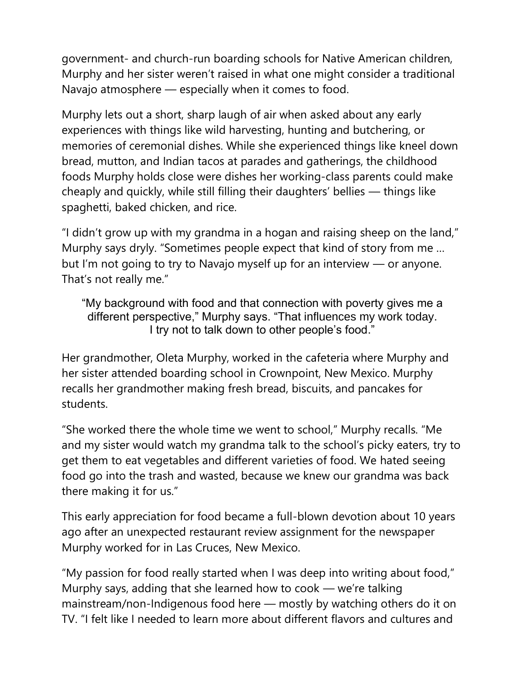government- and church-run boarding schools for Native American children, Murphy and her sister weren't raised in what one might consider a traditional Navajo atmosphere — especially when it comes to food.

Murphy lets out a short, sharp laugh of air when asked about any early experiences with things like wild harvesting, hunting and butchering, or memories of ceremonial dishes. While she experienced things like kneel down bread, mutton, and Indian tacos at parades and gatherings, the childhood foods Murphy holds close were dishes her working-class parents could make cheaply and quickly, while still filling their daughters' bellies — things like spaghetti, baked chicken, and rice.

"I didn't grow up with my grandma in a hogan and raising sheep on the land," Murphy says dryly. "Sometimes people expect that kind of story from me … but I'm not going to try to Navajo myself up for an interview — or anyone. That's not really me."

"My background with food and that connection with poverty gives me a different perspective," Murphy says. "That influences my work today. I try not to talk down to other people's food."

Her grandmother, Oleta Murphy, worked in the cafeteria where Murphy and her sister attended boarding school in Crownpoint, New Mexico. Murphy recalls her grandmother making fresh bread, biscuits, and pancakes for students.

"She worked there the whole time we went to school," Murphy recalls. "Me and my sister would watch my grandma talk to the school's picky eaters, try to get them to eat vegetables and different varieties of food. We hated seeing food go into the trash and wasted, because we knew our grandma was back there making it for us."

This early appreciation for food became a full-blown devotion about 10 years ago after an unexpected restaurant review assignment for the newspaper Murphy worked for in Las Cruces, New Mexico.

"My passion for food really started when I was deep into writing about food," Murphy says, adding that she learned how to cook — we're talking mainstream/non-Indigenous food here — mostly by watching others do it on TV. "I felt like I needed to learn more about different flavors and cultures and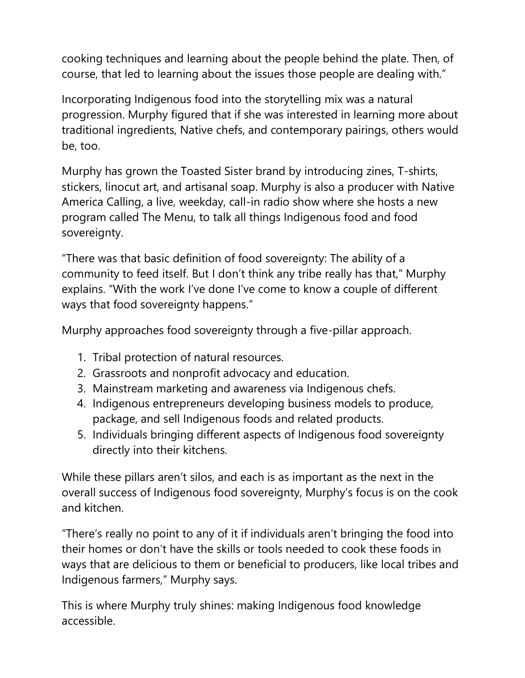cooking techniques and learning about the people behind the plate. Then, of course, that led to learning about the issues those people are dealing with."

Incorporating Indigenous food into the storytelling mix was a natural progression. Murphy figured that if she was interested in learning more about traditional ingredients, Native chefs, and contemporary pairings, others would be, too.

Murphy has grown the Toasted Sister brand by introducing zines, T-shirts, stickers, linocut art, and artisanal soap. Murphy is also a producer with Native America Calling, a live, weekday, call-in radio show where she hosts a new program called The Menu, to talk all things Indigenous food and food sovereignty.

"There was that basic definition of food sovereignty: The ability of a community to feed itself. But I don't think any tribe really has that," Murphy explains. "With the work I've done I've come to know a couple of different ways that food sovereignty happens."

Murphy approaches food sovereignty through a five-pillar approach.

- 1. Tribal protection of natural resources.
- 2. Grassroots and nonprofit advocacy and education.
- 3. Mainstream marketing and awareness via Indigenous chefs.
- 4. Indigenous entrepreneurs developing business models to produce, package, and sell Indigenous foods and related products.
- 5. Individuals bringing different aspects of Indigenous food sovereignty directly into their kitchens.

While these pillars aren't silos, and each is as important as the next in the overall success of Indigenous food sovereignty, Murphy's focus is on the cook and kitchen.

"There's really no point to any of it if individuals aren't bringing the food into their homes or don't have the skills or tools needed to cook these foods in ways that are delicious to them or beneficial to producers, like local tribes and Indigenous farmers," Murphy says.

This is where Murphy truly shines: making Indigenous food knowledge accessible.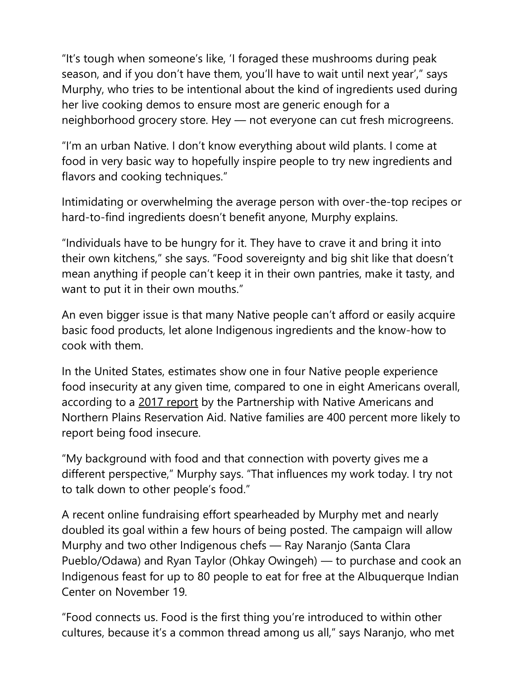"It's tough when someone's like, 'I foraged these mushrooms during peak season, and if you don't have them, you'll have to wait until next year'," says Murphy, who tries to be intentional about the kind of ingredients used during her live cooking demos to ensure most are generic enough for a neighborhood grocery store. Hey — not everyone can cut fresh microgreens.

"I'm an urban Native. I don't know everything about wild plants. I come at food in very basic way to hopefully inspire people to try new ingredients and flavors and cooking techniques."

Intimidating or overwhelming the average person with over-the-top recipes or hard-to-find ingredients doesn't benefit anyone, Murphy explains.

"Individuals have to be hungry for it. They have to crave it and bring it into their own kitchens," she says. "Food sovereignty and big shit like that doesn't mean anything if people can't keep it in their own pantries, make it tasty, and want to put it in their own mouths."

An even bigger issue is that many Native people can't afford or easily acquire basic food products, let alone Indigenous ingredients and the know-how to cook with them.

In the United States, estimates show one in four Native people experience food insecurity at any given time, compared to one in eight Americans overall, according to a [2017 report](http://www.nativepartnership.org/site/DocServer/2017-PWNA-NPRA-Food-Insecurity-Project-Grow.pdf?docID=7106) by the Partnership with Native Americans and Northern Plains Reservation Aid. Native families are 400 percent more likely to report being food insecure.

"My background with food and that connection with poverty gives me a different perspective," Murphy says. "That influences my work today. I try not to talk down to other people's food."

A recent online fundraising effort spearheaded by Murphy met and nearly doubled its goal within a few hours of being posted. The campaign will allow Murphy and two other Indigenous chefs — Ray Naranjo (Santa Clara Pueblo/Odawa) and Ryan Taylor (Ohkay Owingeh) — to purchase and cook an Indigenous feast for up to 80 people to eat for free at the Albuquerque Indian Center on November 19.

"Food connects us. Food is the first thing you're introduced to within other cultures, because it's a common thread among us all," says Naranjo, who met